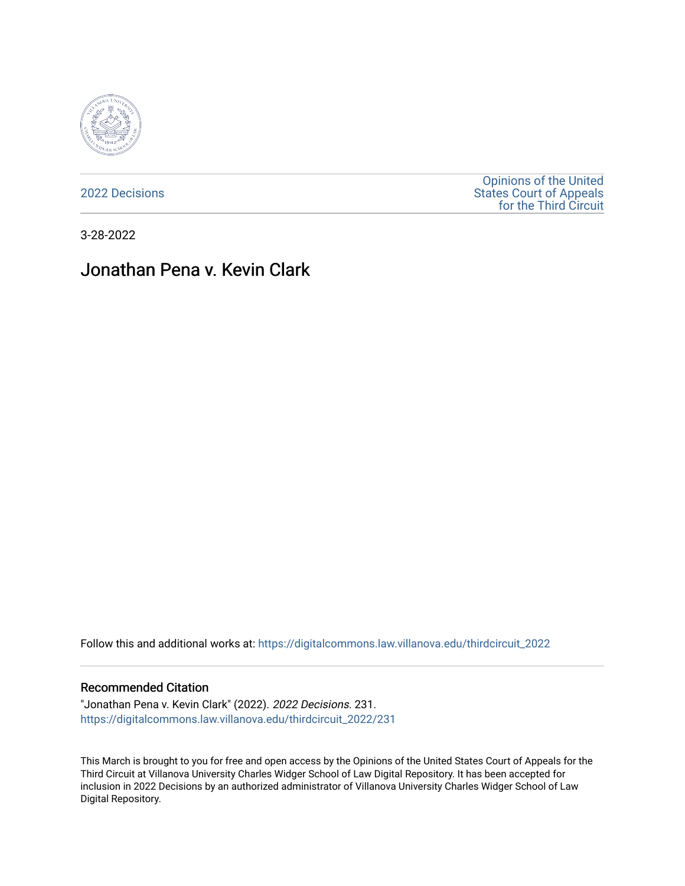

[2022 Decisions](https://digitalcommons.law.villanova.edu/thirdcircuit_2022)

[Opinions of the United](https://digitalcommons.law.villanova.edu/thirdcircuit)  [States Court of Appeals](https://digitalcommons.law.villanova.edu/thirdcircuit)  [for the Third Circuit](https://digitalcommons.law.villanova.edu/thirdcircuit) 

3-28-2022

# Jonathan Pena v. Kevin Clark

Follow this and additional works at: [https://digitalcommons.law.villanova.edu/thirdcircuit\\_2022](https://digitalcommons.law.villanova.edu/thirdcircuit_2022?utm_source=digitalcommons.law.villanova.edu%2Fthirdcircuit_2022%2F231&utm_medium=PDF&utm_campaign=PDFCoverPages) 

#### Recommended Citation

"Jonathan Pena v. Kevin Clark" (2022). 2022 Decisions. 231. [https://digitalcommons.law.villanova.edu/thirdcircuit\\_2022/231](https://digitalcommons.law.villanova.edu/thirdcircuit_2022/231?utm_source=digitalcommons.law.villanova.edu%2Fthirdcircuit_2022%2F231&utm_medium=PDF&utm_campaign=PDFCoverPages)

This March is brought to you for free and open access by the Opinions of the United States Court of Appeals for the Third Circuit at Villanova University Charles Widger School of Law Digital Repository. It has been accepted for inclusion in 2022 Decisions by an authorized administrator of Villanova University Charles Widger School of Law Digital Repository.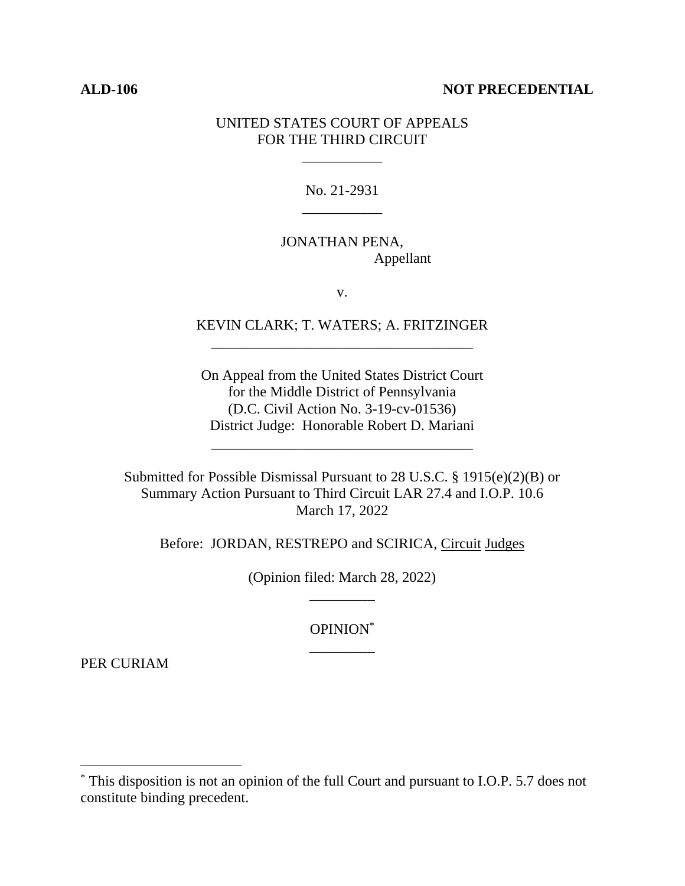#### **ALD-106 NOT PRECEDENTIAL**

# UNITED STATES COURT OF APPEALS FOR THE THIRD CIRCUIT

\_\_\_\_\_\_\_\_\_\_\_

No. 21-2931 \_\_\_\_\_\_\_\_\_\_\_

# JONATHAN PENA, Appellant

v.

# KEVIN CLARK; T. WATERS; A. FRITZINGER \_\_\_\_\_\_\_\_\_\_\_\_\_\_\_\_\_\_\_\_\_\_\_\_\_\_\_\_\_\_\_\_\_\_\_\_

On Appeal from the United States District Court for the Middle District of Pennsylvania (D.C. Civil Action No. 3-19-cv-01536) District Judge: Honorable Robert D. Mariani

\_\_\_\_\_\_\_\_\_\_\_\_\_\_\_\_\_\_\_\_\_\_\_\_\_\_\_\_\_\_\_\_\_\_\_\_

Submitted for Possible Dismissal Pursuant to 28 U.S.C. § 1915(e)(2)(B) or Summary Action Pursuant to Third Circuit LAR 27.4 and I.O.P. 10.6 March 17, 2022

Before: JORDAN, RESTREPO and SCIRICA, Circuit Judges

(Opinion filed: March 28, 2022) \_\_\_\_\_\_\_\_\_

> OPINION\* \_\_\_\_\_\_\_\_\_

PER CURIAM

<sup>\*</sup> This disposition is not an opinion of the full Court and pursuant to I.O.P. 5.7 does not constitute binding precedent.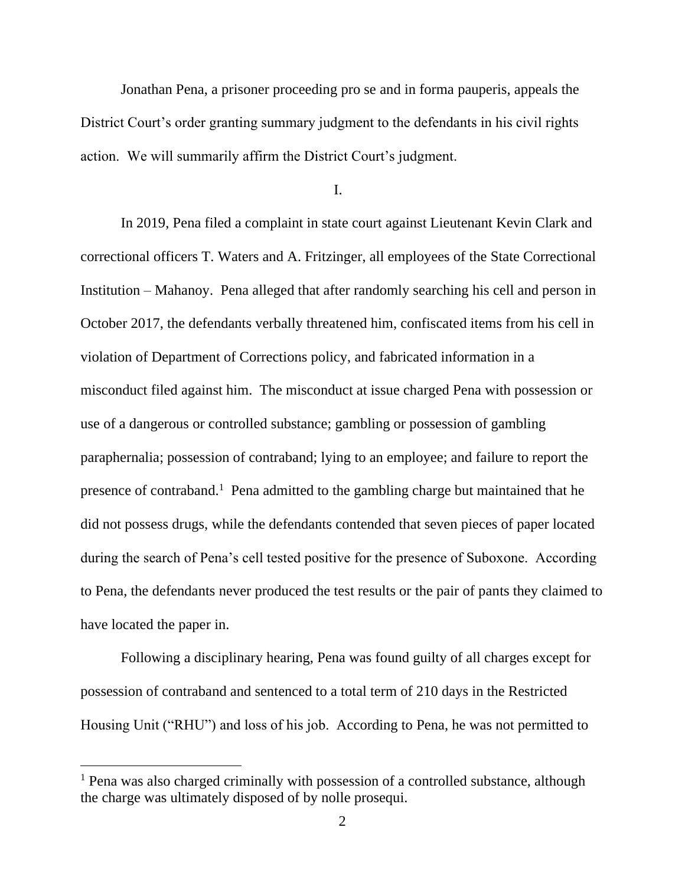Jonathan Pena, a prisoner proceeding pro se and in forma pauperis, appeals the District Court's order granting summary judgment to the defendants in his civil rights action. We will summarily affirm the District Court's judgment.

I.

In 2019, Pena filed a complaint in state court against Lieutenant Kevin Clark and correctional officers T. Waters and A. Fritzinger, all employees of the State Correctional Institution – Mahanoy. Pena alleged that after randomly searching his cell and person in October 2017, the defendants verbally threatened him, confiscated items from his cell in violation of Department of Corrections policy, and fabricated information in a misconduct filed against him. The misconduct at issue charged Pena with possession or use of a dangerous or controlled substance; gambling or possession of gambling paraphernalia; possession of contraband; lying to an employee; and failure to report the presence of contraband.<sup>1</sup> Pena admitted to the gambling charge but maintained that he did not possess drugs, while the defendants contended that seven pieces of paper located during the search of Pena's cell tested positive for the presence of Suboxone. According to Pena, the defendants never produced the test results or the pair of pants they claimed to have located the paper in.

Following a disciplinary hearing, Pena was found guilty of all charges except for possession of contraband and sentenced to a total term of 210 days in the Restricted Housing Unit ("RHU") and loss of his job. According to Pena, he was not permitted to

<sup>1</sup> Pena was also charged criminally with possession of a controlled substance, although the charge was ultimately disposed of by nolle prosequi.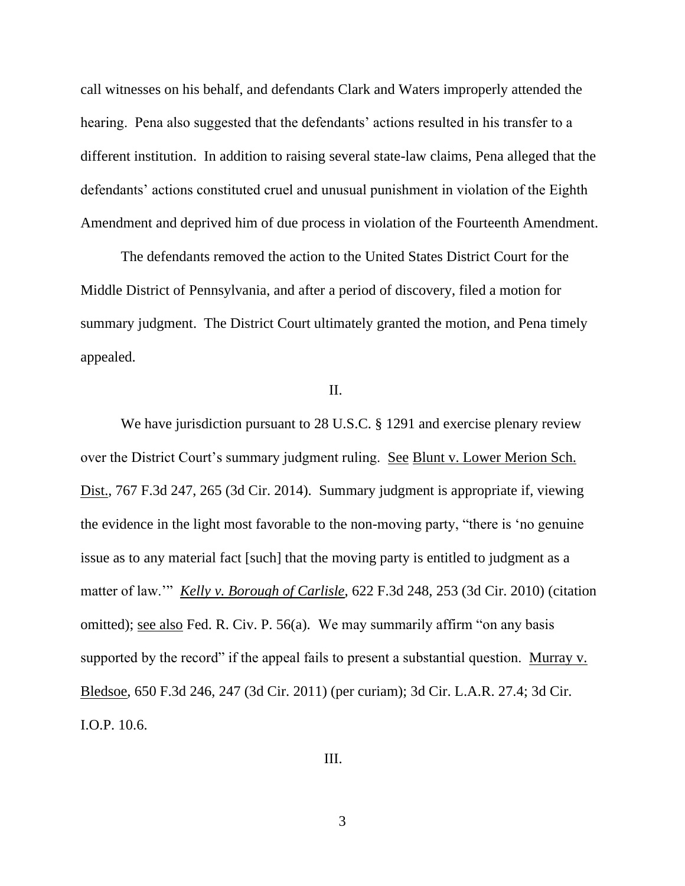call witnesses on his behalf, and defendants Clark and Waters improperly attended the hearing. Pena also suggested that the defendants' actions resulted in his transfer to a different institution. In addition to raising several state-law claims, Pena alleged that the defendants' actions constituted cruel and unusual punishment in violation of the Eighth Amendment and deprived him of due process in violation of the Fourteenth Amendment.

The defendants removed the action to the United States District Court for the Middle District of Pennsylvania, and after a period of discovery, filed a motion for summary judgment. The District Court ultimately granted the motion, and Pena timely appealed.

### II.

We have jurisdiction pursuant to 28 U.S.C. § 1291 and exercise plenary review over the District Court's summary judgment ruling. See Blunt v. Lower Merion Sch. Dist., 767 F.3d 247, 265 (3d Cir. 2014). Summary judgment is appropriate if, viewing the evidence in the light most favorable to the non-moving party, "there is 'no genuine issue as to any material fact [such] that the moving party is entitled to judgment as a matter of law.'" *Kelly v. Borough of Carlisle*, 622 F.3d 248, 253 (3d Cir. 2010) (citation omitted); see also Fed. R. Civ. P. 56(a). We may summarily affirm "on any basis supported by the record" if the appeal fails to present a substantial question. Murray v. Bledsoe, 650 F.3d 246, 247 (3d Cir. 2011) (per curiam); 3d Cir. L.A.R. 27.4; 3d Cir. I.O.P. 10.6.

## III.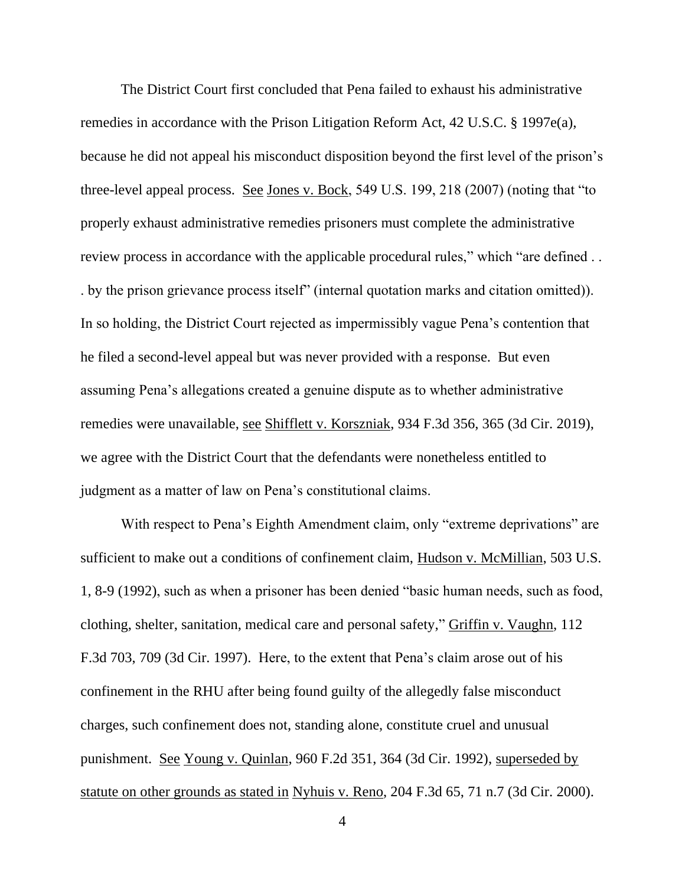The District Court first concluded that Pena failed to exhaust his administrative remedies in accordance with the Prison Litigation Reform Act, 42 U.S.C. § 1997e(a), because he did not appeal his misconduct disposition beyond the first level of the prison's three-level appeal process. <u>See Jones v. Bock</u>, 549 U.S. 199, 218 (2007) (noting that "to properly exhaust administrative remedies prisoners must complete the administrative review process in accordance with the applicable procedural rules," which "are defined ... . by the prison grievance process itself" (internal quotation marks and citation omitted)). In so holding, the District Court rejected as impermissibly vague Pena's contention that he filed a second-level appeal but was never provided with a response. But even assuming Pena's allegations created a genuine dispute as to whether administrative remedies were unavailable, see Shifflett v. Korszniak, 934 F.3d 356, 365 (3d Cir. 2019), we agree with the District Court that the defendants were nonetheless entitled to judgment as a matter of law on Pena's constitutional claims.

With respect to Pena's Eighth Amendment claim, only "extreme deprivations" are sufficient to make out a conditions of confinement claim, Hudson v. McMillian, 503 U.S. 1, 8-9 (1992), such as when a prisoner has been denied "basic human needs, such as food, clothing, shelter, sanitation, medical care and personal safety," Griffin v. Vaughn, 112 F.3d 703, 709 (3d Cir. 1997). Here, to the extent that Pena's claim arose out of his confinement in the RHU after being found guilty of the allegedly false misconduct charges, such confinement does not, standing alone, constitute cruel and unusual punishment. See Young v. Quinlan, 960 F.2d 351, 364 (3d Cir. 1992), superseded by statute on other grounds as stated in Nyhuis v. Reno, 204 F.3d 65, 71 n.7 (3d Cir. 2000).

4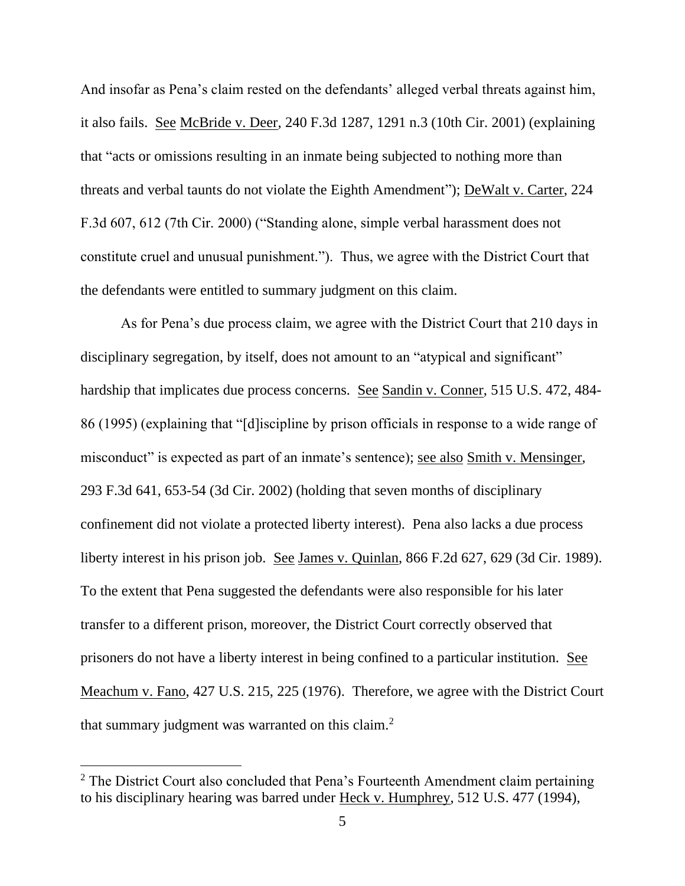And insofar as Pena's claim rested on the defendants' alleged verbal threats against him, it also fails. See McBride v. Deer, 240 F.3d 1287, 1291 n.3 (10th Cir. 2001) (explaining that "acts or omissions resulting in an inmate being subjected to nothing more than threats and verbal taunts do not violate the Eighth Amendment"); DeWalt v. Carter, 224 F.3d 607, 612 (7th Cir. 2000) ("Standing alone, simple verbal harassment does not constitute cruel and unusual punishment."). Thus, we agree with the District Court that the defendants were entitled to summary judgment on this claim.

As for Pena's due process claim, we agree with the District Court that 210 days in disciplinary segregation, by itself, does not amount to an "atypical and significant" hardship that implicates due process concerns. See Sandin v. Conner, 515 U.S. 472, 484- 86 (1995) (explaining that "[d]iscipline by prison officials in response to a wide range of misconduct" is expected as part of an inmate's sentence); see also Smith v. Mensinger, 293 F.3d 641, 653-54 (3d Cir. 2002) (holding that seven months of disciplinary confinement did not violate a protected liberty interest). Pena also lacks a due process liberty interest in his prison job. See James v. Quinlan, 866 F.2d 627, 629 (3d Cir. 1989). To the extent that Pena suggested the defendants were also responsible for his later transfer to a different prison, moreover, the District Court correctly observed that prisoners do not have a liberty interest in being confined to a particular institution. See Meachum v. Fano, 427 U.S. 215, 225 (1976). Therefore, we agree with the District Court that summary judgment was warranted on this claim.<sup>2</sup>

<sup>&</sup>lt;sup>2</sup> The District Court also concluded that Pena's Fourteenth Amendment claim pertaining to his disciplinary hearing was barred under Heck v. Humphrey, 512 U.S. 477 (1994),